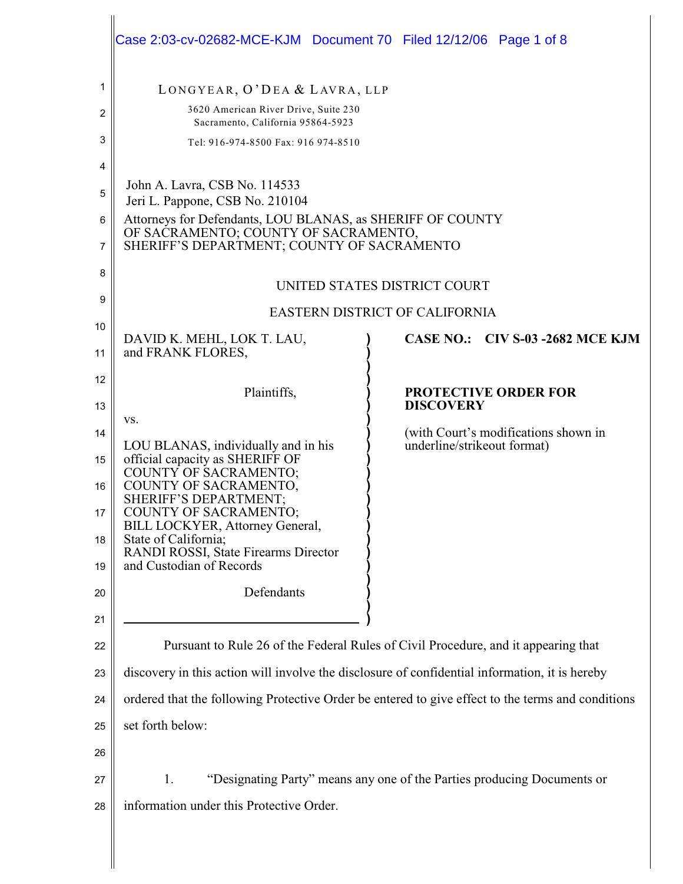|        | Case 2:03-cv-02682-MCE-KJM  Document 70  Filed 12/12/06  Page 1 of 8                                                                             |                                                                     |
|--------|--------------------------------------------------------------------------------------------------------------------------------------------------|---------------------------------------------------------------------|
| 1      | LONGYEAR, O'DEA & LAVRA, LLP                                                                                                                     |                                                                     |
| 2      | 3620 American River Drive, Suite 230<br>Sacramento, California 95864-5923                                                                        |                                                                     |
| 3      | Tel: 916-974-8500 Fax: 916 974-8510                                                                                                              |                                                                     |
| 4      |                                                                                                                                                  |                                                                     |
| 5      | John A. Lavra, CSB No. 114533<br>Jeri L. Pappone, CSB No. 210104                                                                                 |                                                                     |
| 6<br>7 | Attorneys for Defendants, LOU BLANAS, as SHERIFF OF COUNTY<br>OF SACRAMENTO; COUNTY OF SACRAMENTO,<br>SHERIFF'S DEPARTMENT; COUNTY OF SACRAMENTO |                                                                     |
| 8      |                                                                                                                                                  |                                                                     |
| 9      | UNITED STATES DISTRICT COURT                                                                                                                     |                                                                     |
| 10     | EASTERN DISTRICT OF CALIFORNIA                                                                                                                   |                                                                     |
| 11     | DAVID K. MEHL, LOK T. LAU,<br>and FRANK FLORES,                                                                                                  | CASE NO.: CIV S-03 -2682 MCE KJM                                    |
| 12     | Plaintiffs,                                                                                                                                      | <b>PROTECTIVE ORDER FOR</b>                                         |
| 13     | VS.                                                                                                                                              | <b>DISCOVERY</b>                                                    |
| 14     | LOU BLANAS, individually and in his                                                                                                              | (with Court's modifications shown in<br>underline/strikeout format) |
| 15     | official capacity as SHERIFF OF<br>COUNTY OF SACRAMENTO;                                                                                         |                                                                     |
| 16     | COUNTY OF SACRAMENTO,<br>SHERIFF'S DEPARTMENT;                                                                                                   |                                                                     |
| 17     | <b>COUNTY OF SACRAMENTO;</b>                                                                                                                     |                                                                     |
| 18     | BILL LOCKYER, Attorney General,<br>State of California;                                                                                          |                                                                     |
| 19     | RANDI ROSSI, State Firearms Director<br>and Custodian of Records                                                                                 |                                                                     |
| 20     | Defendants                                                                                                                                       |                                                                     |
| 21     |                                                                                                                                                  |                                                                     |
| 22     | Pursuant to Rule 26 of the Federal Rules of Civil Procedure, and it appearing that                                                               |                                                                     |
| 23     | discovery in this action will involve the disclosure of confidential information, it is hereby                                                   |                                                                     |
| 24     | ordered that the following Protective Order be entered to give effect to the terms and conditions                                                |                                                                     |
| 25     | set forth below:                                                                                                                                 |                                                                     |
| 26     |                                                                                                                                                  |                                                                     |
| 27     | "Designating Party" means any one of the Parties producing Documents or<br>1.                                                                    |                                                                     |
| 28     | information under this Protective Order.                                                                                                         |                                                                     |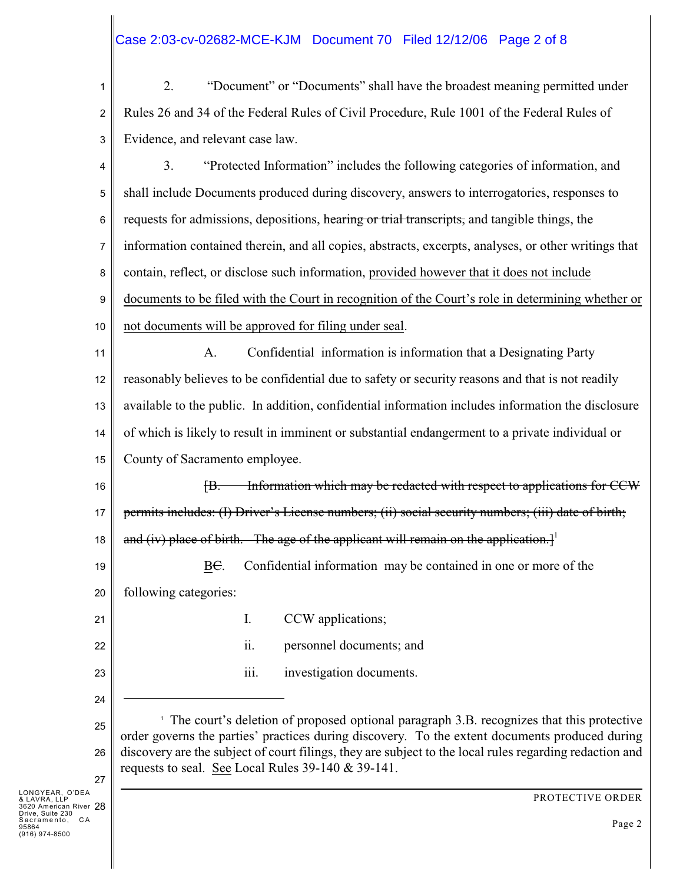# Case 2:03-cv-02682-MCE-KJM Document 70 Filed 12/12/06 Page 2 of 8

1 2 3 2. "Document" or "Documents" shall have the broadest meaning permitted under Rules 26 and 34 of the Federal Rules of Civil Procedure, Rule 1001 of the Federal Rules of Evidence, and relevant case law.

4 5 6 7 8 9 10 3. "Protected Information" includes the following categories of information, and shall include Documents produced during discovery, answers to interrogatories, responses to requests for admissions, depositions, hearing or trial transcripts, and tangible things, the information contained therein, and all copies, abstracts, excerpts, analyses, or other writings that contain, reflect, or disclose such information, provided however that it does not include documents to be filed with the Court in recognition of the Court's role in determining whether or not documents will be approved for filing under seal.

11 12 13 14 15 A. Confidential information is information that a Designating Party reasonably believes to be confidential due to safety or security reasons and that is not readily available to the public. In addition, confidential information includes information the disclosure of which is likely to result in imminent or substantial endangerment to a private individual or County of Sacramento employee.

16 17 18 [B. Information which may be redacted with respect to applications for CCW permits includes: (I) Driver's License numbers; (ii) social security numbers; (iii) date of birth; and (iv) place of birth. The age of the applicant will remain on the application.

19 20 BC. Confidential information may be contained in one or more of the following categories:

ii. personnel documents; and

iii. investigation documents.

I. CCW applications;

23

21

22

24 25

26

27

<sup>1</sup> The court's deletion of proposed optional paragraph 3.B. recognizes that this protective order governs the parties' practices during discovery. To the extent documents produced during discovery are the subject of court filings, they are subject to the local rules regarding redaction and requests to seal. See Local Rules 39-140 & 39-141.

28 LONGYEAR, O'DEA & LAVRA, LLP 3620 American River Drive, Suite 230 s....., ...........<br>Sacramento, CA 95864 (916) 974-8500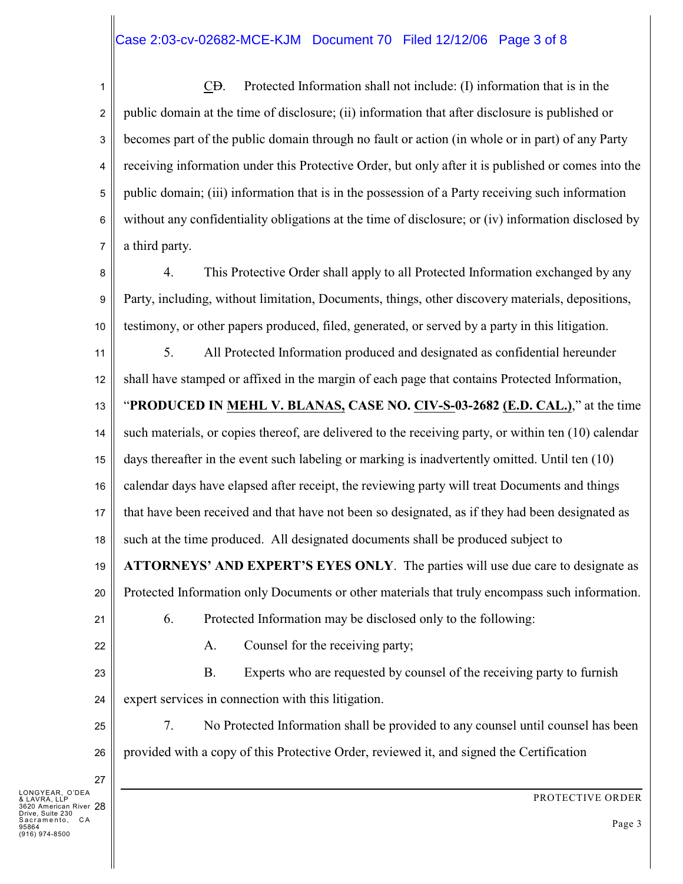## Case 2:03-cv-02682-MCE-KJM Document 70 Filed 12/12/06 Page 3 of 8

1 2 3 4 5 6 7 CD. Protected Information shall not include: (I) information that is in the public domain at the time of disclosure; (ii) information that after disclosure is published or becomes part of the public domain through no fault or action (in whole or in part) of any Party receiving information under this Protective Order, but only after it is published or comes into the public domain; (iii) information that is in the possession of a Party receiving such information without any confidentiality obligations at the time of disclosure; or (iv) information disclosed by a third party.

8 9 10 4. This Protective Order shall apply to all Protected Information exchanged by any Party, including, without limitation, Documents, things, other discovery materials, depositions, testimony, or other papers produced, filed, generated, or served by a party in this litigation.

11 12 5. All Protected Information produced and designated as confidential hereunder shall have stamped or affixed in the margin of each page that contains Protected Information,

13 14 15 16 17 18 "**PRODUCED IN MEHL V. BLANAS, CASE NO. CIV-S-03-2682 (E.D. CAL.)**," at the time such materials, or copies thereof, are delivered to the receiving party, or within ten (10) calendar days thereafter in the event such labeling or marking is inadvertently omitted. Until ten (10) calendar days have elapsed after receipt, the reviewing party will treat Documents and things that have been received and that have not been so designated, as if they had been designated as such at the time produced. All designated documents shall be produced subject to

19 **ATTORNEYS' AND EXPERT'S EYES ONLY**. The parties will use due care to designate as

20 Protected Information only Documents or other materials that truly encompass such information.

21 22

25

26

27

A. Counsel for the receiving party;

23 24 B. Experts who are requested by counsel of the receiving party to furnish expert services in connection with this litigation.

6. Protected Information may be disclosed only to the following:

7. No Protected Information shall be provided to any counsel until counsel has been provided with a copy of this Protective Order, reviewed it, and signed the Certification

28 3620 American River Drive, Suite 230 LONGYEAR, O'DEA & LAVRA, LLP sacramento, CA 95864 -<br>974-8500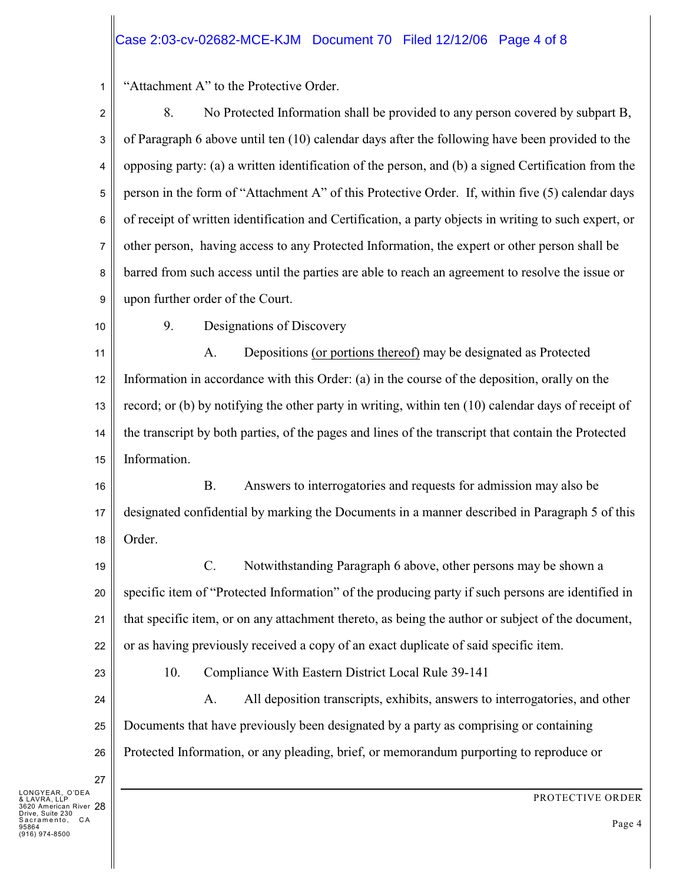## Case 2:03-cv-02682-MCE-KJM Document 70 Filed 12/12/06 Page 4 of 8

1 "Attachment A" to the Protective Order.

2 3 4 5 6 7 8 9 8. No Protected Information shall be provided to any person covered by subpart B, of Paragraph 6 above until ten (10) calendar days after the following have been provided to the opposing party: (a) a written identification of the person, and (b) a signed Certification from the person in the form of "Attachment A" of this Protective Order. If, within five (5) calendar days of receipt of written identification and Certification, a party objects in writing to such expert, or other person, having access to any Protected Information, the expert or other person shall be barred from such access until the parties are able to reach an agreement to resolve the issue or upon further order of the Court.

10

9. Designations of Discovery

11 12 13 14 15 A. Depositions (or portions thereof) may be designated as Protected Information in accordance with this Order: (a) in the course of the deposition, orally on the record; or (b) by notifying the other party in writing, within ten (10) calendar days of receipt of the transcript by both parties, of the pages and lines of the transcript that contain the Protected Information.

16 17 18 B. Answers to interrogatories and requests for admission may also be designated confidential by marking the Documents in a manner described in Paragraph 5 of this Order.

19 20 21 22 C. Notwithstanding Paragraph 6 above, other persons may be shown a specific item of "Protected Information" of the producing party if such persons are identified in that specific item, or on any attachment thereto, as being the author or subject of the document, or as having previously received a copy of an exact duplicate of said specific item.

23

27

10. Compliance With Eastern District Local Rule 39-141

24 25 26 A. All deposition transcripts, exhibits, answers to interrogatories, and other Documents that have previously been designated by a party as comprising or containing Protected Information, or any pleading, brief, or memorandum purporting to reproduce or

28 3620 American River Drive, Suite 230 LONGYEAR, O'DEA & LAVRA, LLP sacramento, CA 95864 -<br>974-8500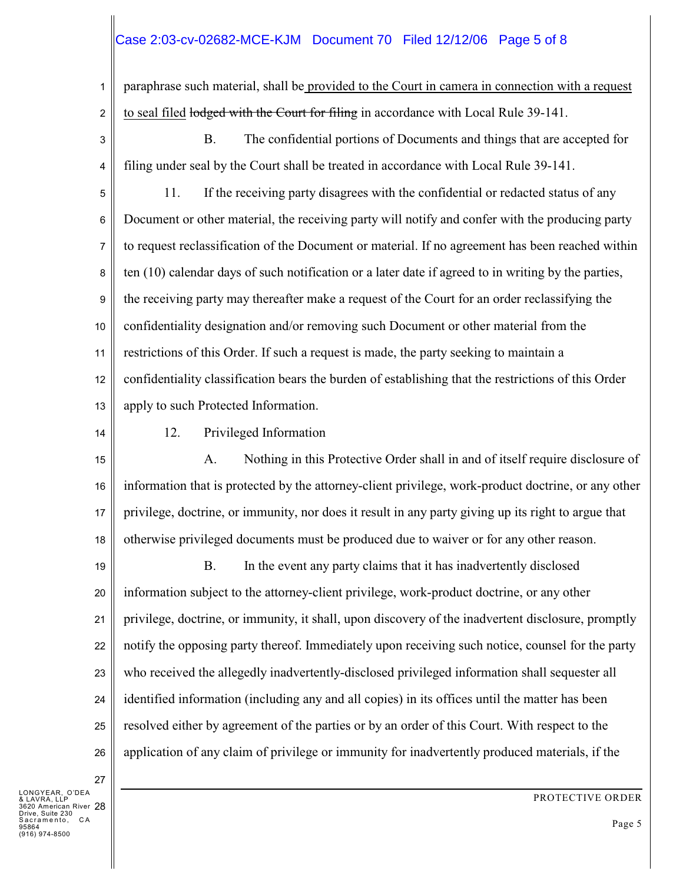# Case 2:03-cv-02682-MCE-KJM Document 70 Filed 12/12/06 Page 5 of 8

1 2 paraphrase such material, shall be provided to the Court in camera in connection with a request to seal filed lodged with the Court for filing in accordance with Local Rule 39-141.

3

B. The confidential portions of Documents and things that are accepted for filing under seal by the Court shall be treated in accordance with Local Rule 39-141.

4

5 6 7 8 9 10 11 12 13 11. If the receiving party disagrees with the confidential or redacted status of any Document or other material, the receiving party will notify and confer with the producing party to request reclassification of the Document or material. If no agreement has been reached within ten (10) calendar days of such notification or a later date if agreed to in writing by the parties, the receiving party may thereafter make a request of the Court for an order reclassifying the confidentiality designation and/or removing such Document or other material from the restrictions of this Order. If such a request is made, the party seeking to maintain a confidentiality classification bears the burden of establishing that the restrictions of this Order apply to such Protected Information.

14

12. Privileged Information

15 16 17 18 A. Nothing in this Protective Order shall in and of itself require disclosure of information that is protected by the attorney-client privilege, work-product doctrine, or any other privilege, doctrine, or immunity, nor does it result in any party giving up its right to argue that otherwise privileged documents must be produced due to waiver or for any other reason.

19 20 21 22 23 24 25 26 B. In the event any party claims that it has inadvertently disclosed information subject to the attorney-client privilege, work-product doctrine, or any other privilege, doctrine, or immunity, it shall, upon discovery of the inadvertent disclosure, promptly notify the opposing party thereof. Immediately upon receiving such notice, counsel for the party who received the allegedly inadvertently-disclosed privileged information shall sequester all identified information (including any and all copies) in its offices until the matter has been resolved either by agreement of the parties or by an order of this Court. With respect to the application of any claim of privilege or immunity for inadvertently produced materials, if the

28 3620 American River Drive, Suite 230 LONGYEAR, O'DEA & LAVRA, LLP *Brive, Salle Lov*<br>Sacramento, CA 95864 \*<br>974-8500

27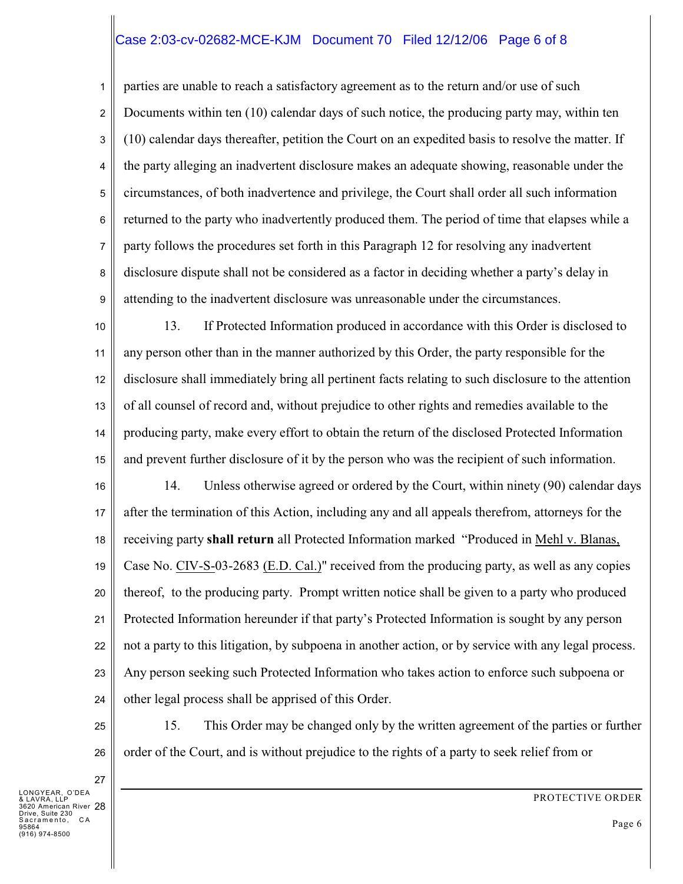#### Case 2:03-cv-02682-MCE-KJM Document 70 Filed 12/12/06 Page 6 of 8

1 2 3 4 5 6 7 8 9 parties are unable to reach a satisfactory agreement as to the return and/or use of such Documents within ten (10) calendar days of such notice, the producing party may, within ten (10) calendar days thereafter, petition the Court on an expedited basis to resolve the matter. If the party alleging an inadvertent disclosure makes an adequate showing, reasonable under the circumstances, of both inadvertence and privilege, the Court shall order all such information returned to the party who inadvertently produced them. The period of time that elapses while a party follows the procedures set forth in this Paragraph 12 for resolving any inadvertent disclosure dispute shall not be considered as a factor in deciding whether a party's delay in attending to the inadvertent disclosure was unreasonable under the circumstances.

10 11 12 13 14 15 13. If Protected Information produced in accordance with this Order is disclosed to any person other than in the manner authorized by this Order, the party responsible for the disclosure shall immediately bring all pertinent facts relating to such disclosure to the attention of all counsel of record and, without prejudice to other rights and remedies available to the producing party, make every effort to obtain the return of the disclosed Protected Information and prevent further disclosure of it by the person who was the recipient of such information.

16 17 18 19 20 21 22 23 24 14. Unless otherwise agreed or ordered by the Court, within ninety (90) calendar days after the termination of this Action, including any and all appeals therefrom, attorneys for the receiving party **shall return** all Protected Information marked "Produced in Mehl v. Blanas, Case No. CIV-S-03-2683 (E.D. Cal.)" received from the producing party, as well as any copies thereof, to the producing party. Prompt written notice shall be given to a party who produced Protected Information hereunder if that party's Protected Information is sought by any person not a party to this litigation, by subpoena in another action, or by service with any legal process. Any person seeking such Protected Information who takes action to enforce such subpoena or other legal process shall be apprised of this Order.

15. This Order may be changed only by the written agreement of the parties or further order of the Court, and is without prejudice to the rights of a party to seek relief from or

27 28 3620 American River Drive, Suite 230 LONGYEAR, O'DEA & LAVRA, LLP s....., ...... ....<br>Sacramento, CA 95864 \*<br>974-8500

25

26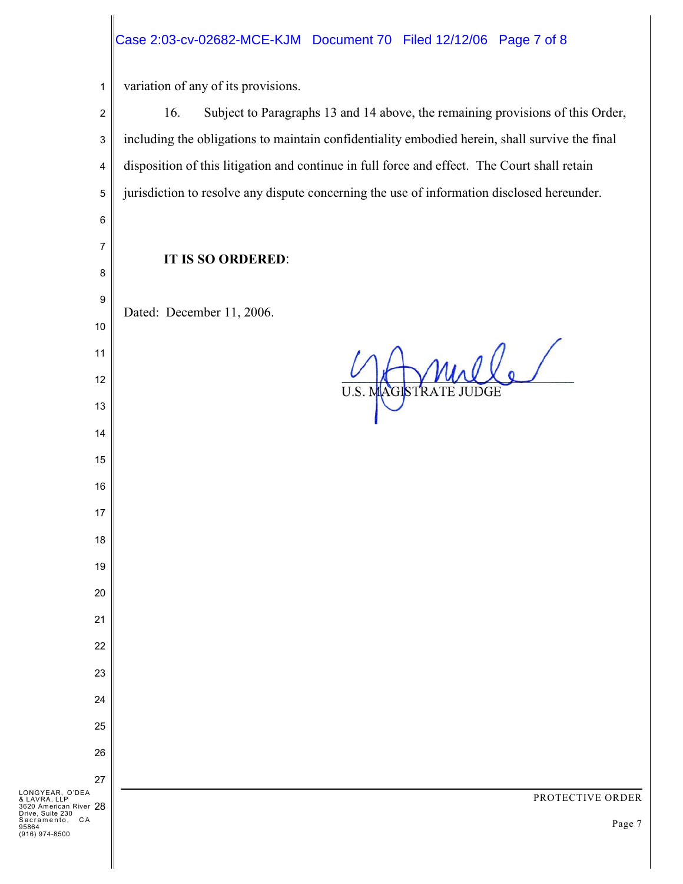# Case 2:03-cv-02682-MCE-KJM Document 70 Filed 12/12/06 Page 7 of 8

 variation of any of its provisions.

16. Subject to Paragraphs 13 and 14 above, the remaining provisions of this Order, including the obligations to maintain confidentiality embodied herein, shall survive the final disposition of this litigation and continue in full force and effect. The Court shall retain jurisdiction to resolve any dispute concerning the use of information disclosed hereunder. **IT IS SO ORDERED**: Dated: December 11, 2006. BTRATE JUDGE LONGYEAR, O'DEA & LAVRA, LLP 3620 American River Drive, Suite 230 PROTECTIVE ORDER *Billy, Sallo Lov*<br>Sacramento, CA Page 7 (916) 974-8500